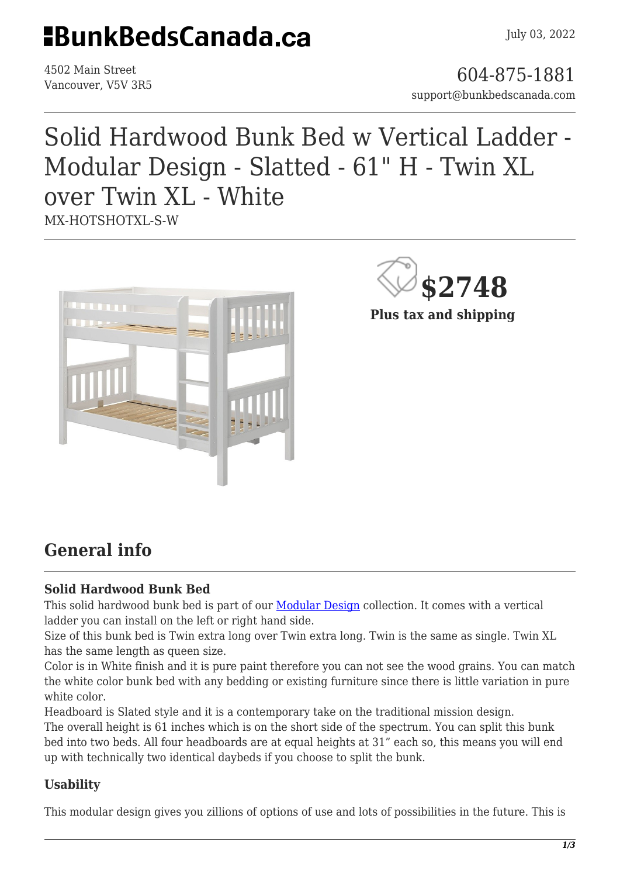## **EBunkBedsCanada.ca**

4502 Main Street

4502 Main Street<br>Vancouver, V5V 3R5 support@bunkbedscanada.com

### Solid Hardwood Bunk Bed w Vertical Ladder - Modular Design - Slatted - 61" H - Twin XL over Twin XL - White MX-HOTSHOTXL-S-W



**\$2748**

**Plus tax and shipping**

### **General info**

#### **Solid Hardwood Bunk Bed**

This solid hardwood bunk bed is part of our **Modular Design** collection. It comes with a vertical ladder you can install on the left or right hand side.

Size of this bunk bed is Twin extra long over Twin extra long. Twin is the same as single. Twin XL has the same length as queen size.

Color is in White finish and it is pure paint therefore you can not see the wood grains. You can match the white color bunk bed with any bedding or existing furniture since there is little variation in pure white color

Headboard is Slated style and it is a contemporary take on the traditional mission design. The overall height is 61 inches which is on the short side of the spectrum. You can split this bunk bed into two beds. All four headboards are at equal heights at 31" each so, this means you will end up with technically two identical daybeds if you choose to split the bunk.

#### **Usability**

This modular design gives you zillions of options of use and lots of possibilities in the future. This is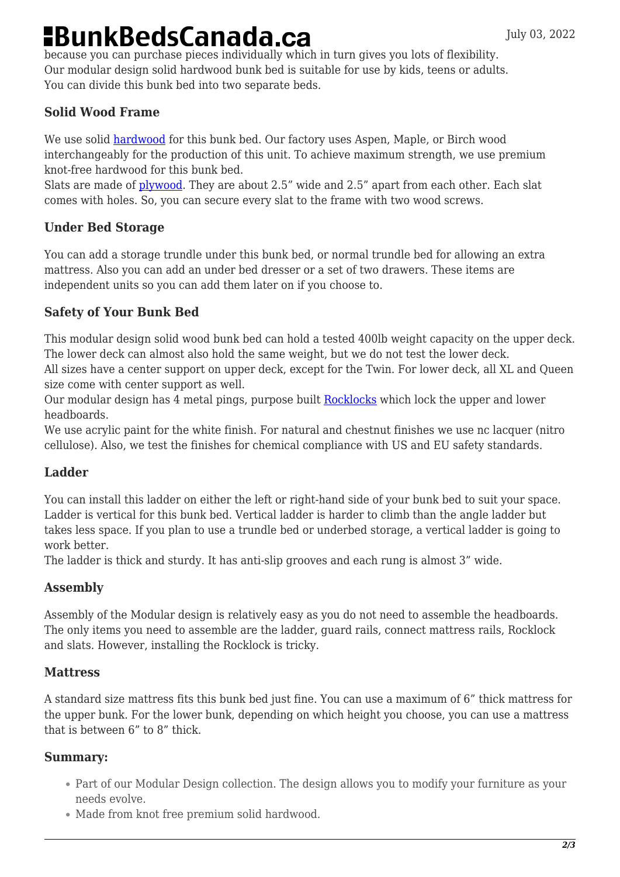# **BunkBedsCanada.ca**

because you can purchase pieces individually which in turn gives you lots of flexibility. Our modular design solid hardwood bunk bed is suitable for use by kids, teens or adults. You can divide this bunk bed into two separate beds.

#### **Solid Wood Frame**

We use solid [hardwood](https://en.wikipedia.org/wiki/Hardwood) for this bunk bed. Our factory uses Aspen, Maple, or Birch wood interchangeably for the production of this unit. To achieve maximum strength, we use premium knot-free hardwood for this bunk bed.

Slats are made of [plywood](https://en.wikipedia.org/wiki/Plywood). They are about 2.5" wide and 2.5" apart from each other. Each slat comes with holes. So, you can secure every slat to the frame with two wood screws.

#### **Under Bed Storage**

You can add a storage trundle under this bunk bed, or normal trundle bed for allowing an extra mattress. Also you can add an under bed dresser or a set of two drawers. These items are independent units so you can add them later on if you choose to.

#### **Safety of Your Bunk Bed**

This modular design solid wood bunk bed can hold a tested 400lb weight capacity on the upper deck. The lower deck can almost also hold the same weight, but we do not test the lower deck. All sizes have a center support on upper deck, except for the Twin. For lower deck, all XL and Queen size come with center support as well.

Our modular design has 4 metal pings, purpose built [Rocklocks](https://bunkbedscanada.com/rock-locks-set-of-4.html) which lock the upper and lower headboards.

We use acrylic paint for the white finish. For natural and chestnut finishes we use nc lacquer (nitro cellulose). Also, we test the finishes for chemical compliance with US and EU safety standards.

#### **Ladder**

You can install this ladder on either the left or right-hand side of your bunk bed to suit your space. Ladder is vertical for this bunk bed. Vertical ladder is harder to climb than the angle ladder but takes less space. If you plan to use a trundle bed or underbed storage, a vertical ladder is going to work better.

The ladder is thick and sturdy. It has anti-slip grooves and each rung is almost 3" wide.

#### **Assembly**

Assembly of the Modular design is relatively easy as you do not need to assemble the headboards. The only items you need to assemble are the ladder, guard rails, connect mattress rails, Rocklock and slats. However, installing the Rocklock is tricky.

#### **Mattress**

A standard size mattress fits this bunk bed just fine. You can use a maximum of 6" thick mattress for the upper bunk. For the lower bunk, depending on which height you choose, you can use a mattress that is between 6" to 8" thick.

#### **Summary:**

- Part of our Modular Design collection. The design allows you to modify your furniture as your needs evolve.
- Made from knot free premium solid hardwood.